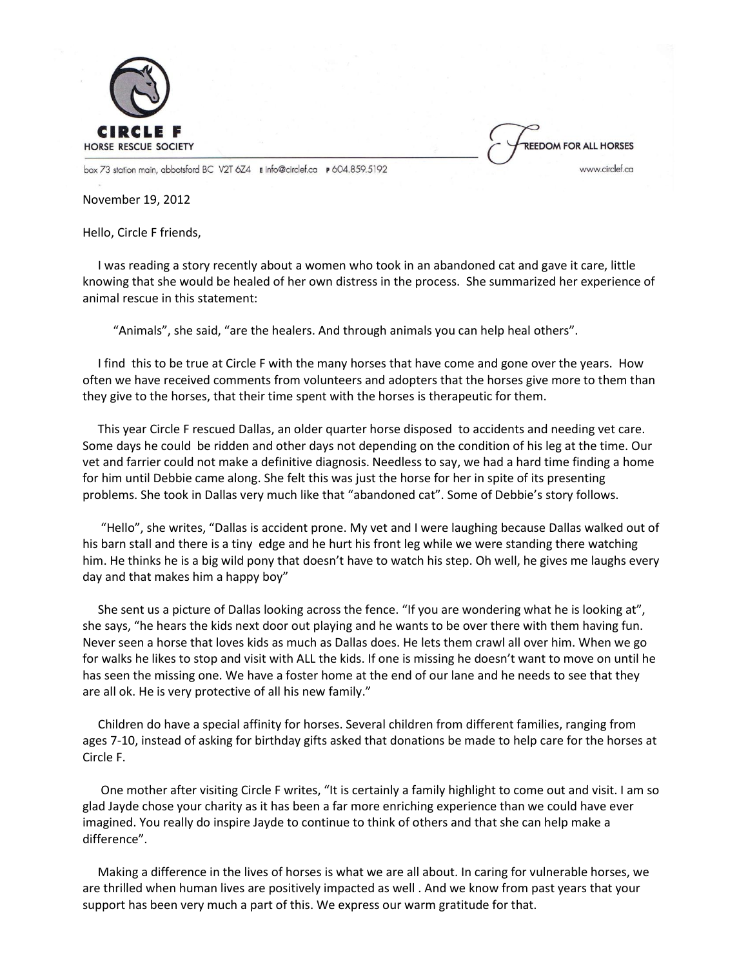

REEDOM FOR ALL HORSES www.circlef.ca

box 73 station main, abbotsford BC V2T 6Z4 E info@circlef.ca P 604.859.5192

November 19, 2012

Hello, Circle F friends,

 I was reading a story recently about a women who took in an abandoned cat and gave it care, little knowing that she would be healed of her own distress in the process. She summarized her experience of animal rescue in this statement:

"Animals", she said, "are the healers. And through animals you can help heal others".

 I find this to be true at Circle F with the many horses that have come and gone over the years. How often we have received comments from volunteers and adopters that the horses give more to them than they give to the horses, that their time spent with the horses is therapeutic for them.

 This year Circle F rescued Dallas, an older quarter horse disposed to accidents and needing vet care. Some days he could be ridden and other days not depending on the condition of his leg at the time. Our vet and farrier could not make a definitive diagnosis. Needless to say, we had a hard time finding a home for him until Debbie came along. She felt this was just the horse for her in spite of its presenting problems. She took in Dallas very much like that "abandoned cat". Some of Debbie's story follows.

 "Hello", she writes, "Dallas is accident prone. My vet and I were laughing because Dallas walked out of his barn stall and there is a tiny edge and he hurt his front leg while we were standing there watching him. He thinks he is a big wild pony that doesn't have to watch his step. Oh well, he gives me laughs every day and that makes him a happy boy"

 She sent us a picture of Dallas looking across the fence. "If you are wondering what he is looking at", she says, "he hears the kids next door out playing and he wants to be over there with them having fun. Never seen a horse that loves kids as much as Dallas does. He lets them crawl all over him. When we go for walks he likes to stop and visit with ALL the kids. If one is missing he doesn't want to move on until he has seen the missing one. We have a foster home at the end of our lane and he needs to see that they are all ok. He is very protective of all his new family."

 Children do have a special affinity for horses. Several children from different families, ranging from ages 7-10, instead of asking for birthday gifts asked that donations be made to help care for the horses at Circle F.

 One mother after visiting Circle F writes, "It is certainly a family highlight to come out and visit. I am so glad Jayde chose your charity as it has been a far more enriching experience than we could have ever imagined. You really do inspire Jayde to continue to think of others and that she can help make a difference".

 Making a difference in the lives of horses is what we are all about. In caring for vulnerable horses, we are thrilled when human lives are positively impacted as well . And we know from past years that your support has been very much a part of this. We express our warm gratitude for that.